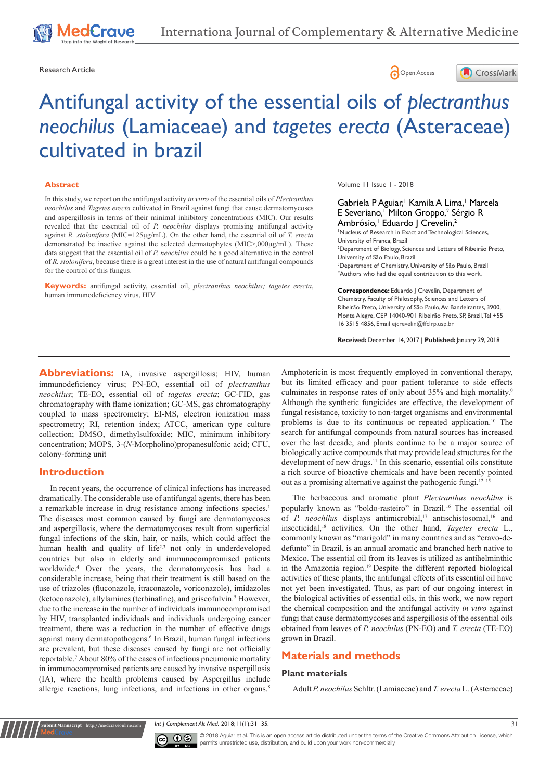## Research Article **Contracts** Contracts and Contracts Contracts Contracts Contracts Contracts Contracts Open Access





# Antifungal activity of the essential oils of *plectranthus neochilus* (Lamiaceae) and *tagetes erecta* (Asteraceae) cultivated in brazil

#### **Abstract**

In this study, we report on the antifungal activity *in vitro* of the essential oils of *Plectranthus neochilus* and *Tagetes erecta* cultivated in Brazil against fungi that cause dermatomycoses and aspergillosis in terms of their minimal inhibitory concentrations (MIC). Our results revealed that the essential oil of *P. neochilus* displays promising antifungal activity against *R. stolonifera* (MIC=125μg/mL). On the other hand, the essential oil of *T. erecta*  demonstrated be inactive against the selected dermatophytes (MIC>,000μg/mL). These data suggest that the essential oil of *P. neochilus* could be a good alternative in the control of *R. stolonifera*, because there is a great interest in the use of natural antifungal compounds for the control of this fungus.

**Keywords:** antifungal activity, essential oil, *plectranthus neochilus; tagetes erecta*, human immunodeficiency virus, HIV

Volume 11 Issue 1 - 2018

Gabriela P Aguiar,<sup>1</sup> Kamila A Lima,<sup>1</sup> Marcela E Severiano,<sup>1</sup> Milton Groppo,<sup>2</sup> Sérgio R Ambrósio,<sup>1</sup> Eduardo J Crevelin,<sup>2</sup>

1 Nucleus of Research in Exact and Technological Sciences, University of Franca, Brazil 2 Department of Biology, Sciences and Letters of Ribeirão Preto, University of São Paulo, Brazil 3 Department of Chemistry, University of São Paulo, Brazil #Authors who had the equal contribution to this work.

**Correspondence:** Eduardo J Crevelin, Department of Chemistry, Faculty of Philosophy, Sciences and Letters of Ribeirão Preto, University of São Paulo, Av. Bandeirantes, 3900, Monte Alegre, CEP 14040-901 Ribeirão Preto, SP, Brazil, Tel +55 16 3515 4856, Email ejcrevelin@ffclrp.usp.br

**Received:** December 14, 2017 | **Published:** January 29, 2018

**Abbreviations:** IA, invasive aspergillosis; HIV, human immunodeficiency virus; PN-EO, essential oil of *plectranthus neochilus*; TE-EO, essential oil of *tagetes erecta*; GC-FID, gas chromatography with flame ionization; GC-MS, gas chromatography coupled to mass spectrometry; EI-MS, electron ionization mass spectrometry; RI, retention index; ATCC, american type culture collection; DMSO, dimethylsulfoxide; MIC, minimum inhibitory concentration; MOPS, 3-(*N*-Morpholino)propanesulfonic acid; CFU, colony-forming unit

## **Introduction**

**Krit Manuscript** | http://medcraveonline.c

In recent years, the occurrence of clinical infections has increased dramatically. The considerable use of antifungal agents, there has been a remarkable increase in drug resistance among infections species.<sup>1</sup> The diseases most common caused by fungi are dermatomycoses and aspergillosis, where the dermatomycoses result from superficial fungal infections of the skin, hair, or nails, which could affect the human health and quality of life<sup>2,3</sup> not only in underdeveloped countries but also in elderly and immunocompromised patients worldwide.<sup>4</sup> Over the years, the dermatomycosis has had a considerable increase, being that their treatment is still based on the use of triazoles (fluconazole, itraconazole, voriconazole), imidazoles (ketoconazole), allylamines (terbinafine), and griseofulvin.<sup>5</sup> However, due to the increase in the number of individuals immunocompromised by HIV, transplanted individuals and individuals undergoing cancer treatment, there was a reduction in the number of effective drugs against many dermatopathogens.<sup>6</sup> In Brazil, human fungal infections are prevalent, but these diseases caused by fungi are not officially reportable.<sup>7</sup> About 80% of the cases of infectious pneumonic mortality in immunocompromised patients are caused by invasive aspergillosis (IA), where the health problems caused by Aspergillus include allergic reactions, lung infections, and infections in other organs.<sup>8</sup>

Amphotericin is most frequently employed in conventional therapy, but its limited efficacy and poor patient tolerance to side effects culminates in response rates of only about 35% and high mortality.<sup>9</sup> Although the synthetic fungicides are effective, the development of fungal resistance, toxicity to non-target organisms and environmental problems is due to its continuous or repeated application.10 The search for antifungal compounds from natural sources has increased over the last decade, and plants continue to be a major source of biologically active compounds that may provide lead structures for the development of new drugs.<sup>11</sup> In this scenario, essential oils constitute a rich source of bioactive chemicals and have been recently pointed out as a promising alternative against the pathogenic fungi.<sup>12-15</sup>

The herbaceous and aromatic plant *Plectranthus neochilus* is popularly known as "boldo-rasteiro" in Brazil.<sup>16</sup> The essential oil of *P. neochilus* displays antimicrobial,<sup>17</sup> antischistosomal,<sup>16</sup> and insecticidal,18 activities. On the other hand, *Tagetes erecta* L., commonly known as "marigold" in many countries and as "cravo-dedefunto" in Brazil, is an annual aromatic and branched herb native to Mexico. The essential oil from its leaves is utilized as antihelminthic in the Amazonia region.<sup>19</sup> Despite the different reported biological activities of these plants, the antifungal effects of its essential oil have not yet been investigated. Thus, as part of our ongoing interest in the biological activities of essential oils, in this work, we now report the chemical composition and the antifungal activity *in vitro* against fungi that cause dermatomycoses and aspergillosis of the essential oils obtained from leaves of *P. neochilus* (PN-EO) and *T. erecta* (TE-EO) grown in Brazil.

# **Materials and methods**

#### **Plant materials**

Adult *P. neochilus* Schltr. (Lamiaceae) and *T. erecta* L. (Asteraceae)

*Int J Complement Alt Med.* 2018;11(1):31‒35. 31



© 2018 Aguiar et al. This is an open access article distributed under the terms of the [Creative Commons Attribution License,](https://creativecommons.org/licenses/by-nc/4.0/) which permits unrestricted use, distribution, and build upon your work non-commercially.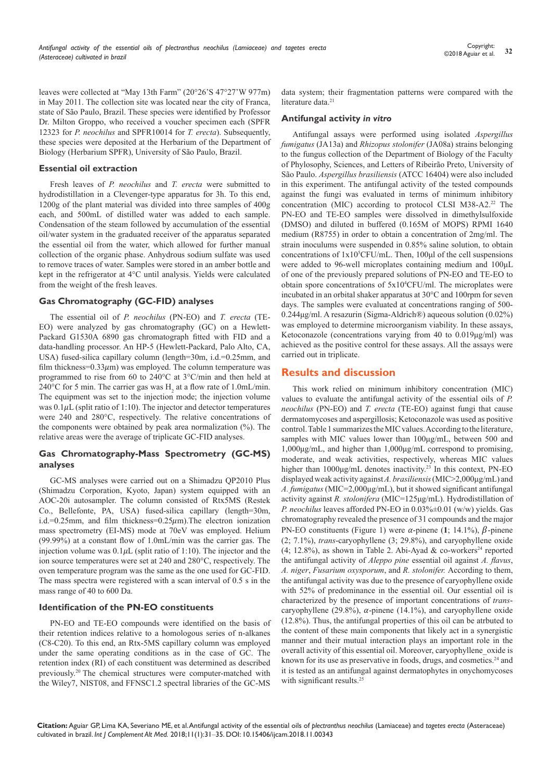leaves were collected at "May 13th Farm" (20°26'S 47°27'W 977m) in May 2011. The collection site was located near the city of Franca, state of São Paulo, Brazil. These species were identified by Professor Dr. Milton Groppo, who received a voucher specimen each (SPFR 12323 for *P. neochilus* and SPFR10014 for *T. erecta*). Subsequently, these species were deposited at the Herbarium of the Department of Biology (Herbarium SPFR), University of São Paulo, Brazil.

#### **Essential oil extraction**

Fresh leaves of *P. neochilus* and *T. erecta* were submitted to hydrodistillation in a Clevenger-type apparatus for 3h. To this end, 1200g of the plant material was divided into three samples of 400g each, and 500mL of distilled water was added to each sample. Condensation of the steam followed by accumulation of the essential oil/water system in the graduated receiver of the apparatus separated the essential oil from the water, which allowed for further manual collection of the organic phase. Anhydrous sodium sulfate was used to remove traces of water. Samples were stored in an amber bottle and kept in the refrigerator at 4°C until analysis. Yields were calculated from the weight of the fresh leaves.

#### **Gas Chromatography (GC-FID) analyses**

The essential oil of *P. neochilus* (PN-EO) and *T. erecta* (TE-EO) were analyzed by gas chromatography (GC) on a Hewlett-Packard G1530A 6890 gas chromatograph fitted with FID and a data-handling processor. An HP-5 (Hewlett-Packard, Palo Alto, CA, USA) fused-silica capillary column (length=30m, i.d.=0.25mm, and film thickness= $0.33 \mu$ m) was employed. The column temperature was programmed to rise from 60 to 240°C at 3°C/min and then held at 240°C for 5 min. The carrier gas was  $H_2$  at a flow rate of 1.0mL/min. The equipment was set to the injection mode; the injection volume was  $0.1 \mu$ L (split ratio of 1:10). The injector and detector temperatures were 240 and 280°C, respectively. The relative concentrations of the components were obtained by peak area normalization (%). The relative areas were the average of triplicate GC-FID analyses.

## **Gas Chromatography-Mass Spectrometry (GC-MS) analyses**

GC-MS analyses were carried out on a Shimadzu QP2010 Plus (Shimadzu Corporation, Kyoto, Japan) system equipped with an AOC-20i autosampler. The column consisted of Rtx5MS (Restek Co., Bellefonte, PA, USA) fused-silica capillary (length=30m, i.d.=0.25mm, and film thickness=0.25 $\mu$ m). The electron ionization mass spectrometry (EI-MS) mode at 70eV was employed. Helium (99.99%) at a constant flow of 1.0mL/min was the carrier gas. The injection volume was  $0.1 \mu L$  (split ratio of 1:10). The injector and the ion source temperatures were set at 240 and 280°C, respectively. The oven temperature program was the same as the one used for GC-FID. The mass spectra were registered with a scan interval of 0.5 s in the mass range of 40 to 600 Da.

#### **Identification of the PN-EO constituents**

PN-EO and TE-EO compounds were identified on the basis of their retention indices relative to a homologous series of n-alkanes (C8-C20). To this end, an Rtx-5MS capillary column was employed under the same operating conditions as in the case of GC. The retention index (RI) of each constituent was determined as described previously.20 The chemical structures were computer-matched with the Wiley7, NIST08, and FFNSC1.2 spectral libraries of the GC-MS

data system; their fragmentation patterns were compared with the literature data.<sup>21</sup>

#### **Antifungal activity** *in vitro*

Antifungal assays were performed using isolated *Aspergillus fumigatus* (JA13a) and *Rhizopus stolonifer* (JA08a) strains belonging to the fungus collection of the Department of Biology of the Faculty of Phylosophy, Sciences, and Letters of Ribeirão Preto, University of São Paulo. *Aspergillus brasiliensis* (ATCC 16404) were also included in this experiment. The antifungal activity of the tested compounds against the fungi was evaluated in terms of minimum inhibitory concentration (MIC) according to protocol CLSI M38-A2.<sup>22</sup> The PN-EO and TE-EO samples were dissolved in dimethylsulfoxide (DMSO) and diluted in buffered (0.165M of MOPS) RPMI 1640 medium (R8755) in order to obtain a concentration of 2mg/ml. The strain inoculums were suspended in 0.85% saline solution, to obtain concentrations of  $1x10^5$ CFU/mL. Then,  $100\mu$ l of the cell suspensions were added to 96-well microplates containing medium and 100μL of one of the previously prepared solutions of PN-EO and TE-EO to obtain spore concentrations of 5x10<sup>4</sup> CFU/ml. The microplates were incubated in an orbital shaker apparatus at 30°C and 100rpm for seven days. The samples were evaluated at concentrations ranging of 500- 0.244μg/ml. A resazurin (Sigma-Aldrich®) aqueous solution (0.02%) was employed to determine microorganism viability. In these assays, Ketoconazole (concentrations varying from 40 to 0.019μg/ml) was achieved as the positive control for these assays. All the assays were carried out in triplicate.

## **Results and discussion**

This work relied on minimum inhibitory concentration (MIC) values to evaluate the antifungal activity of the essential oils of *P. neochilus* (PN-EO) and *T. erecta* (TE-EO) against fungi that cause dermatomycoses and aspergillosis; Ketoconazole was used as positive control. Table 1 summarizes the MIC values. According to the literature, samples with MIC values lower than 100μg/mL, between 500 and 1,000μg/mL, and higher than 1,000μg/mL correspond to promising, moderate, and weak activities, respectively, whereas MIC values higher than 1000μg/mL denotes inactivity.23 In this context, PN-EO displayed weak activity against *A. brasiliensis* (MIC>2,000μg/mL) and *A. fumigatus* (MIC=2,000μg/mL), but it showed significant antifungal activity against *R. stolonifera* (MIC=125μg/mL). Hydrodistillation of *P. neochilus* leaves afforded PN-EO in 0.03%±0.01 (w/w) yields. Gas chromatography revealed the presence of 31 compounds and the major PN-EO constituents (Figure 1) were  $\alpha$ -pinene (1; 14.1%),  $\beta$ -pinene (2; 7.1%), *trans*-caryophyllene (3; 29.8%), and caryophyllene oxide (4; 12.8%), as shown in Table 2. Abi-Ayad & co-workers<sup>24</sup> reported the antifungal activity of *Aleppo pine* essential oil against *A. flavus*, *A. niger*, *Fusarium oxysporum*, and *R. stolonifer.* According to them, the antifungal activity was due to the presence of caryophyllene oxide with 52% of predominance in the essential oil. Our essential oil is characterized by the presence of important concentrations of *trans*caryophyllene (29.8%),  $\alpha$ -pinene (14.1%), and caryophyllene oxide (12.8%). Thus, the antifungal properties of this oil can be atrbuted to the content of these main components that likely act in a synergistic manner and their mutual interaction plays an important role in the overall activity of this essential oil. Moreover, caryophyllene\_oxide is known for its use as preservative in foods, drugs, and cosmetics.<sup>24</sup> and it is tested as an antifungal against dermatophytes in onychomycoses with significant results.<sup>25</sup>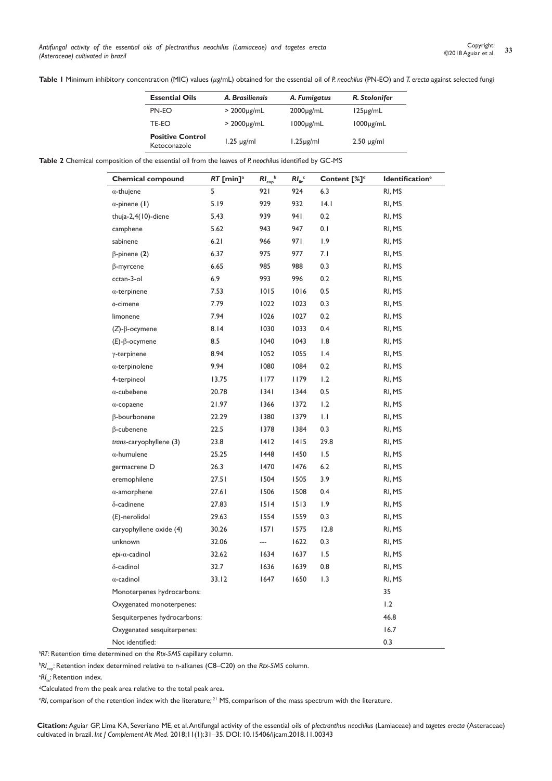Table I Minimum inhibitory concentration (MIC) values (µg/mL) obtained for the essential oil of *P. neochilus* (PN-EO) and *T. erecta* against selected fungi

| <b>Essential Oils</b>                   | A. Brasiliensis  | A. Fumigatus    | R. Stolonifer   |
|-----------------------------------------|------------------|-----------------|-----------------|
| PN-EO                                   | $>2000 \mu g/mL$ | $2000\mu g/mL$  | $125\mu g/mL$   |
| TE-EO                                   | $>2000 \mu g/mL$ | $1000\mu g/mL$  | $1000\mu g/mL$  |
| <b>Positive Control</b><br>Ketoconazole | $1.25 \mu g/ml$  | $1.25 \mu g/ml$ | $2.50 \mu g/ml$ |

**Table 2** Chemical composition of the essential oil from the leaves of *P. neochi*lus identified by GC-MS

| <b>Chemical compound</b>     | $RT$ [min] <sup>a</sup> | $RI_{exp}$ <sub>b</sub> | $RIlit$ <sup>c</sup> | Content [%] <sup>d</sup> | <b>Identification<sup>e</sup></b> |
|------------------------------|-------------------------|-------------------------|----------------------|--------------------------|-----------------------------------|
| $\alpha$ -thujene            | 5                       | 921                     | 924                  | 6.3                      | RI, MS                            |
| $\alpha$ -pinene (1)         | 5.19                    | 929                     | 932                  | 4.1                      | RI, MS                            |
| thuja-2,4 $(10)$ -diene      | 5.43                    | 939                     | 941                  | 0.2                      | RI, MS                            |
| camphene                     | 5.62                    | 943                     | 947                  | 0.1                      | RI, MS                            |
| sabinene                     | 6.21                    | 966                     | 971                  | 1.9                      | RI, MS                            |
| $\beta$ -pinene (2)          | 6.37                    | 975                     | 977                  | 7.1                      | RI, MS                            |
| $\beta$ -myrcene             | 6.65                    | 985                     | 988                  | 0.3                      | RI, MS                            |
| cctan-3-ol                   | 6.9                     | 993                     | 996                  | 0.2                      | RI, MS                            |
| $\alpha$ -terpinene          | 7.53                    | 1015                    | 1016                 | 0.5                      | RI, MS                            |
| o-cimene                     | 7.79                    | 1022                    | 1023                 | 0.3                      | RI, MS                            |
| limonene                     | 7.94                    | 1026                    | 1027                 | 0.2                      | RI, MS                            |
| $(Z)$ - $\beta$ -ocymene     | 8.14                    | 1030                    | 1033                 | 0.4                      | RI, MS                            |
| $(E)$ - $\beta$ -ocymene     | 8.5                     | 1040                    | 1043                 | 1.8                      | RI, MS                            |
| $\gamma$ -terpinene          | 8.94                    | 1052                    | 1055                 | 1.4                      | RI, MS                            |
| $\alpha$ -terpinolene        | 9.94                    | 1080                    | 1084                 | 0.2                      | RI, MS                            |
| 4-terpineol                  | 13.75                   | 1177                    | 1179                 | 1.2                      | RI, MS                            |
| $\alpha$ -cubebene           | 20.78                   | 34                      | 1344                 | $0.5\,$                  | RI, MS                            |
| $\alpha$ -copaene            | 21.97                   | 1366                    | 1372                 | 1.2                      | RI, MS                            |
| β-bourbonene                 | 22.29                   | 1380                    | 1379                 | $\vert \, . \, \vert$    | RI, MS                            |
| $\beta$ -cubenene            | 22.5                    | 1378                    | 1384                 | 0.3                      | RI, MS                            |
| trans-caryophyllene (3)      | 23.8                    | 1412                    | 1415                 | 29.8                     | RI, MS                            |
| $\alpha$ -humulene           | 25.25                   | 1448                    | 1450                 | 1.5                      | RI, MS                            |
| germacrene D                 | 26.3                    | 1470                    | 1476                 | 6.2                      | RI, MS                            |
| eremophilene                 | 27.51                   | 1504                    | 1505                 | 3.9                      | RI, MS                            |
| $\alpha$ -amorphene          | 27.61                   | 1506                    | 1508                 | 0.4                      | RI, MS                            |
| $\delta$ -cadinene           | 27.83                   | 1514                    | 1513                 | 1.9                      | RI, MS                            |
| (E)-nerolidol                | 29.63                   | 1554                    | 1559                 | 0.3                      | RI, MS                            |
| caryophyllene oxide (4)      | 30.26                   | 1571                    | 1575                 | 12.8                     | RI, MS                            |
| unknown                      | 32.06                   | ---                     | 1622                 | 0.3                      | RI, MS                            |
| $epi-\alpha$ -cadinol        | 32.62                   | 1634                    | 1637                 | 1.5                      | RI, MS                            |
| $\delta$ -cadinol            | 32.7                    | 1636                    | 1639                 | 0.8                      | RI, MS                            |
| $\alpha$ -cadinol            | 33.12                   | 1647                    | 1650                 | 1.3                      | RI, MS                            |
| Monoterpenes hydrocarbons:   |                         |                         |                      |                          | 35                                |
| Oxygenated monoterpenes:     |                         |                         |                      |                          | 1.2                               |
| Sesquiterpenes hydrocarbons: |                         |                         |                      |                          | 46.8                              |
| Oxygenated sesquiterpenes:   |                         |                         |                      |                          | 16.7                              |
| Not identified:              |                         |                         |                      |                          | 0.3                               |

a *RT*: Retention time determined on the *Rtx-5MS* capillary column.

b *RI*exp: Retention index determined relative to *n*-alkanes (C8–C20) on the *Rtx-5MS* column.

<sup>c</sup>RI<sub>lit</sub>: Retention index.

<sup>d</sup>Calculated from the peak area relative to the total peak area.

e *RI*, comparison of the retention index with the literature; 21 MS, comparison of the mass spectrum with the literature.

**Citation:** Aguiar GP, Lima KA, Severiano ME, et al. Antifungal activity of the essential oils of *plectranthus neochilus* (Lamiaceae) and *tagetes erecta* (Asteraceae) cultivated in brazil. *Int J Complement Alt Med.* 2018;11(1):31‒35. DOI: [10.15406/ijcam.2018.11.00343](http://https://doi.org/10.15406/ijcam.2018.11.00343)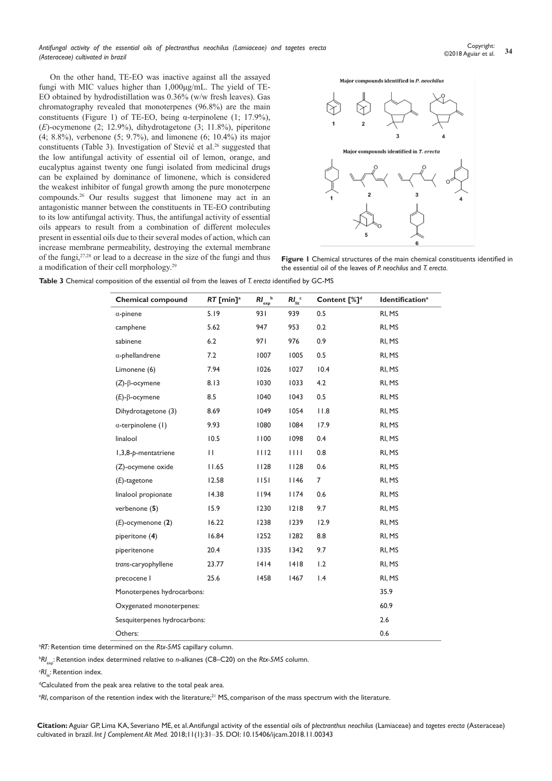On the other hand, TE-EO was inactive against all the assayed fungi with MIC values higher than 1,000μg/mL. The yield of TE-EO obtained by hydrodistillation was 0.36% (w/w fresh leaves). Gas chromatography revealed that monoterpenes (96.8%) are the main constituents (Figure 1) of TE-EO, being  $\alpha$ -terpinolene (1; 17.9%), (*E*)-ocymenone (2; 12.9%), dihydrotagetone (3; 11.8%), piperitone (4; 8.8%), verbenone (5; 9.7%), and limonene (6; 10.4%) its major constituents (Table 3). Investigation of Stević et al.<sup>26</sup> suggested that the low antifungal activity of essential oil of lemon, orange, and eucalyptus against twenty one fungi isolated from medicinal drugs can be explained by dominance of limonene, which is considered the weakest inhibitor of fungal growth among the pure monoterpene compounds.<sup>26</sup> Our results suggest that limonene may act in an antagonistic manner between the constituents in TE-EO contributing to its low antifungal activity. Thus, the antifungal activity of essential oils appears to result from a combination of different molecules present in essential oils due to their several modes of action, which can increase membrane permeability, destroying the external membrane of the fungi,27,28 or lead to a decrease in the size of the fungi and thus a modification of their cell morphology.<sup>29</sup>



**Figure 1** Chemical structures of the main chemical constituents identified in the essential oil of the leaves of *P. neochilus* and *T. erecta*.

| <b>Table 3</b> Chemical composition of the essential oil from the leaves of T. erecta identified by GC-MS |
|-----------------------------------------------------------------------------------------------------------|
|-----------------------------------------------------------------------------------------------------------|

| <b>Chemical compound</b>     | $RT$ [min] <sup>a</sup> | $RI_{exp}$ <sub>b</sub> | $RIlit$ <sup>c</sup> | Content [%] <sup>d</sup> | <b>Identification<sup>e</sup></b> |
|------------------------------|-------------------------|-------------------------|----------------------|--------------------------|-----------------------------------|
| $\alpha$ -pinene             | 5.19                    | 931                     | 939                  | 0.5                      | RI, MS                            |
| camphene                     | 5.62                    | 947                     | 953                  | 0.2                      | RI, MS                            |
| sabinene                     | 6.2                     | 971                     | 976                  | 0.9                      | RI, MS                            |
| $\alpha$ -phellandrene       | 7.2                     | 1007                    | 1005                 | 0.5                      | RI, MS                            |
| Limonene (6)                 | 7.94                    | 1026                    | 1027                 | 10.4                     | RI, MS                            |
| $(Z)$ - $\beta$ -ocymene     | 8.13                    | 1030                    | 1033                 | 4.2                      | RI, MS                            |
| $(E)-\beta$ -ocymene         | 8.5                     | 1040                    | 1043                 | 0.5                      | RI, MS                            |
| Dihydrotagetone (3)          | 8.69                    | 1049                    | 1054                 | 11.8                     | RI, MS                            |
| $\alpha$ -terpinolene (1)    | 9.93                    | 1080                    | 1084                 | 17.9                     | RI, MS                            |
| linalool                     | 10.5                    | 1100                    | 1098                 | 0.4                      | RI, MS                            |
| 1,3,8-p-mentatriene          | $\mathbf{H}$            | 1112                    | 1111                 | 0.8                      | RI, MS                            |
| (Z)-ocymene oxide            | 11.65                   | 1128                    | 1128                 | 0.6                      | RI, MS                            |
| $(E)$ -tagetone              | 12.58                   | 1151                    | 1146                 | $\overline{7}$           | RI, MS                            |
| linalool propionate          | 14.38                   | 1194                    | 1174                 | 0.6                      | RI, MS                            |
| verbenone (5)                | 15.9                    | 1230                    | 1218                 | 9.7                      | RI, MS                            |
| $(E)$ -ocymenone $(2)$       | 16.22                   | 1238                    | 1239                 | 12.9                     | RI, MS                            |
| piperitone (4)               | 16.84                   | 1252                    | 1282                 | 8.8                      | RI, MS                            |
| piperitenone                 | 20.4                    | 1335                    | 1342                 | 9.7                      | RI, MS                            |
| trans-caryophyllene          | 23.77                   | 1414                    | 1418                 | 1.2                      | RI, MS                            |
| precocene I                  | 25.6                    | 1458                    | 1467                 | 1.4                      | RI, MS                            |
| Monoterpenes hydrocarbons:   |                         |                         |                      |                          | 35.9                              |
| Oxygenated monoterpenes:     |                         | 60.9                    |                      |                          |                                   |
| Sesquiterpenes hydrocarbons: |                         |                         |                      |                          | 2.6                               |
| Others:                      |                         |                         |                      |                          | 0.6                               |

a *RT*: Retention time determined on the *Rtx-5MS* capillary column.

b *RI*exp: Retention index determined relative to *n*-alkanes (C8–C20) on the *Rtx-5MS* column.

<sup>c</sup>RI<sub>lit</sub>: Retention index.

<sup>d</sup>Calculated from the peak area relative to the total peak area.

 $\cdot$ R*I*, comparison of the retention index with the literature;<sup>21</sup> MS, comparison of the mass spectrum with the literature.

**Citation:** Aguiar GP, Lima KA, Severiano ME, et al. Antifungal activity of the essential oils of *plectranthus neochilus* (Lamiaceae) and *tagetes erecta* (Asteraceae) cultivated in brazil. *Int J Complement Alt Med.* 2018;11(1):31‒35. DOI: [10.15406/ijcam.2018.11.00343](http://https://doi.org/10.15406/ijcam.2018.11.00343)